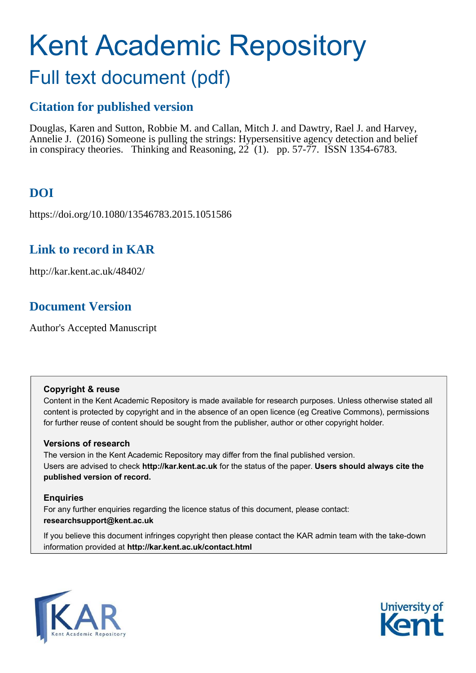# Kent Academic Repository

## Full text document (pdf)

## **Citation for published version**

Douglas, Karen and Sutton, Robbie M. and Callan, Mitch J. and Dawtry, Rael J. and Harvey, Annelie J. (2016) Someone is pulling the strings: Hypersensitive agency detection and belief in conspiracy theories. Thinking and Reasoning,  $22(1)$ . pp. 57-77. ISSN 1354-6783.

## **DOI**

https://doi.org/10.1080/13546783.2015.1051586

## **Link to record in KAR**

http://kar.kent.ac.uk/48402/

## **Document Version**

Author's Accepted Manuscript

#### **Copyright & reuse**

Content in the Kent Academic Repository is made available for research purposes. Unless otherwise stated all content is protected by copyright and in the absence of an open licence (eg Creative Commons), permissions for further reuse of content should be sought from the publisher, author or other copyright holder.

#### **Versions of research**

The version in the Kent Academic Repository may differ from the final published version. Users are advised to check **http://kar.kent.ac.uk** for the status of the paper. **Users should always cite the published version of record.**

#### **Enquiries**

For any further enquiries regarding the licence status of this document, please contact: **researchsupport@kent.ac.uk**

If you believe this document infringes copyright then please contact the KAR admin team with the take-down information provided at **http://kar.kent.ac.uk/contact.html**



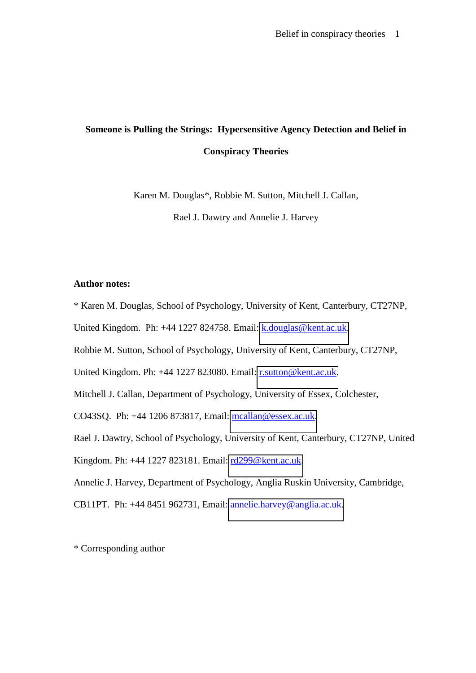## **Someone is Pulling the Strings: Hypersensitive Agency Detection and Belief in Conspiracy Theories**

Karen M. Douglas\*, Robbie M. Sutton, Mitchell J. Callan,

Rael J. Dawtry and Annelie J. Harvey

#### **Author notes:**

\* Karen M. Douglas, School of Psychology, University of Kent, Canterbury, CT27NP,

United Kingdom. Ph: +44 1227 824758. Email: [k.douglas@kent.ac.uk.](mailto:k.douglas@kent.ac.uk)

Robbie M. Sutton, School of Psychology, University of Kent, Canterbury, CT27NP,

United Kingdom. Ph: +44 1227 823080. Email: [r.sutton@kent.ac.uk.](mailto:r.sutton@kent.ac.uk)

Mitchell J. Callan, Department of Psychology, University of Essex, Colchester,

CO43SQ. Ph: +44 1206 873817, Email: [mcallan@essex.ac.uk.](mailto:mcallan@essex.ac.uk)

Rael J. Dawtry, School of Psychology, University of Kent, Canterbury, CT27NP, United

Kingdom. Ph: +44 1227 823181. Email: [rd299@kent.ac.uk.](mailto:rd299@kent.ac.uk)

Annelie J. Harvey, Department of Psychology, Anglia Ruskin University, Cambridge,

CB11PT. Ph: +44 8451 962731, Email: [annelie.harvey@anglia.ac.uk.](mailto:annelie.harvey@anglia.ac.uk)

\* Corresponding author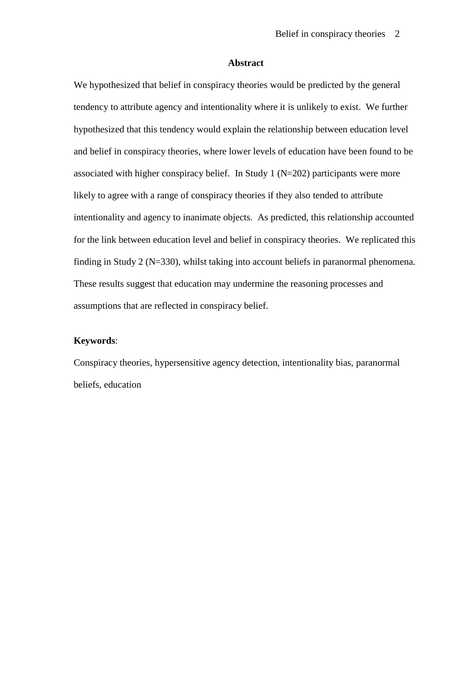#### **Abstract**

We hypothesized that belief in conspiracy theories would be predicted by the general tendency to attribute agency and intentionality where it is unlikely to exist. We further hypothesized that this tendency would explain the relationship between education level and belief in conspiracy theories, where lower levels of education have been found to be associated with higher conspiracy belief. In Study 1 (N=202) participants were more likely to agree with a range of conspiracy theories if they also tended to attribute intentionality and agency to inanimate objects. As predicted, this relationship accounted for the link between education level and belief in conspiracy theories. We replicated this finding in Study 2 (N=330), whilst taking into account beliefs in paranormal phenomena. These results suggest that education may undermine the reasoning processes and assumptions that are reflected in conspiracy belief.

#### **Keywords**:

Conspiracy theories, hypersensitive agency detection, intentionality bias, paranormal beliefs, education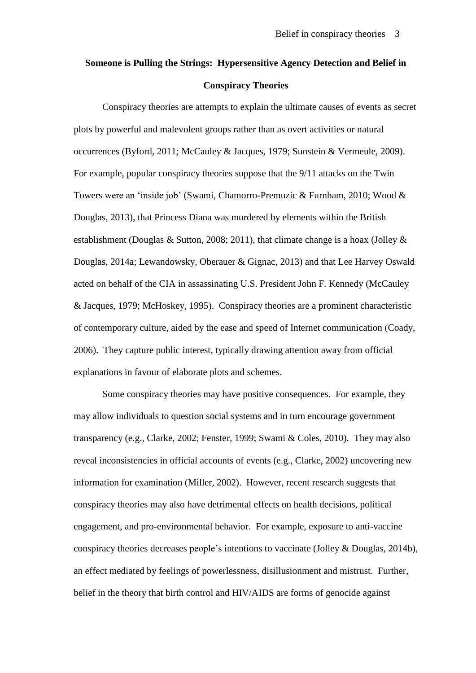## **Someone is Pulling the Strings: Hypersensitive Agency Detection and Belief in Conspiracy Theories**

Conspiracy theories are attempts to explain the ultimate causes of events as secret plots by powerful and malevolent groups rather than as overt activities or natural occurrences (Byford, 2011; McCauley & Jacques, 1979; Sunstein & Vermeule, 2009). For example, popular conspiracy theories suppose that the 9/11 attacks on the Twin Towers were an 'inside job' (Swami, Chamorro-Premuzic & Furnham, 2010; Wood & Douglas, 2013), that Princess Diana was murdered by elements within the British establishment (Douglas & Sutton, 2008; 2011), that climate change is a hoax (Jolley & Douglas, 2014a; Lewandowsky, Oberauer & Gignac, 2013) and that Lee Harvey Oswald acted on behalf of the CIA in assassinating U.S. President John F. Kennedy (McCauley & Jacques, 1979; McHoskey, 1995). Conspiracy theories are a prominent characteristic of contemporary culture, aided by the ease and speed of Internet communication (Coady, 2006). They capture public interest, typically drawing attention away from official explanations in favour of elaborate plots and schemes.

Some conspiracy theories may have positive consequences. For example, they may allow individuals to question social systems and in turn encourage government transparency (e.g., Clarke, 2002; Fenster, 1999; Swami & Coles, 2010). They may also reveal inconsistencies in official accounts of events (e.g., Clarke, 2002) uncovering new information for examination (Miller, 2002). However, recent research suggests that conspiracy theories may also have detrimental effects on health decisions, political engagement, and pro-environmental behavior. For example, exposure to anti-vaccine conspiracy theories decreases people's intentions to vaccinate (Jolley & Douglas, 2014b), an effect mediated by feelings of powerlessness, disillusionment and mistrust. Further, belief in the theory that birth control and HIV/AIDS are forms of genocide against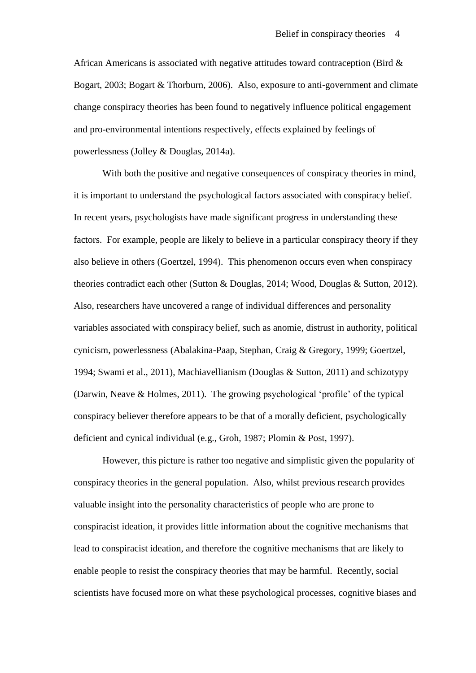African Americans is associated with negative attitudes toward contraception (Bird & Bogart, 2003; Bogart & Thorburn, 2006). Also, exposure to anti-government and climate change conspiracy theories has been found to negatively influence political engagement and pro-environmental intentions respectively, effects explained by feelings of powerlessness (Jolley & Douglas, 2014a).

With both the positive and negative consequences of conspiracy theories in mind, it is important to understand the psychological factors associated with conspiracy belief. In recent years, psychologists have made significant progress in understanding these factors. For example, people are likely to believe in a particular conspiracy theory if they also believe in others (Goertzel, 1994). This phenomenon occurs even when conspiracy theories contradict each other (Sutton & Douglas, 2014; Wood, Douglas & Sutton, 2012). Also, researchers have uncovered a range of individual differences and personality variables associated with conspiracy belief, such as anomie, distrust in authority, political cynicism, powerlessness (Abalakina-Paap, Stephan, Craig & Gregory, 1999; Goertzel, 1994; Swami et al., 2011), Machiavellianism (Douglas & Sutton, 2011) and schizotypy (Darwin, Neave & Holmes, 2011). The growing psychological 'profile' of the typical conspiracy believer therefore appears to be that of a morally deficient, psychologically deficient and cynical individual (e.g., Groh, 1987; Plomin & Post, 1997).

However, this picture is rather too negative and simplistic given the popularity of conspiracy theories in the general population. Also, whilst previous research provides valuable insight into the personality characteristics of people who are prone to conspiracist ideation, it provides little information about the cognitive mechanisms that lead to conspiracist ideation, and therefore the cognitive mechanisms that are likely to enable people to resist the conspiracy theories that may be harmful. Recently, social scientists have focused more on what these psychological processes, cognitive biases and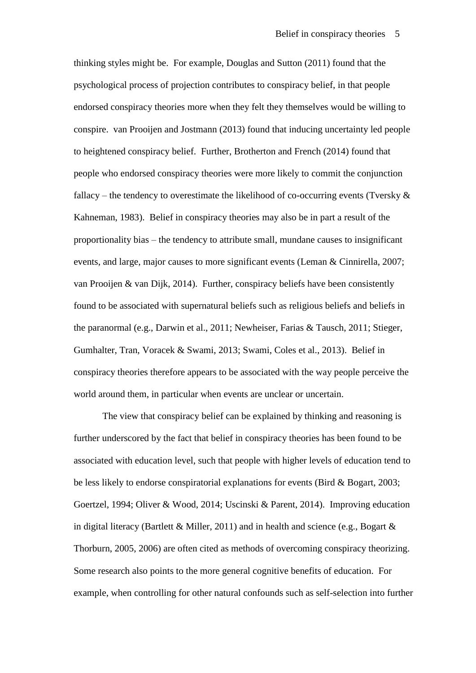thinking styles might be. For example, Douglas and Sutton (2011) found that the psychological process of projection contributes to conspiracy belief, in that people endorsed conspiracy theories more when they felt they themselves would be willing to conspire. van Prooijen and Jostmann (2013) found that inducing uncertainty led people to heightened conspiracy belief. Further, Brotherton and French (2014) found that people who endorsed conspiracy theories were more likely to commit the conjunction fallacy – the tendency to overestimate the likelihood of co-occurring events (Tversky  $\&$ Kahneman, 1983). Belief in conspiracy theories may also be in part a result of the proportionality bias – the tendency to attribute small, mundane causes to insignificant events, and large, major causes to more significant events (Leman & Cinnirella, 2007; van Prooijen & van Dijk, 2014). Further, conspiracy beliefs have been consistently found to be associated with supernatural beliefs such as religious beliefs and beliefs in the paranormal (e.g., Darwin et al., 2011; Newheiser, Farias & Tausch, 2011; Stieger, Gumhalter, Tran, Voracek & Swami, 2013; Swami, Coles et al., 2013). Belief in conspiracy theories therefore appears to be associated with the way people perceive the world around them, in particular when events are unclear or uncertain.

The view that conspiracy belief can be explained by thinking and reasoning is further underscored by the fact that belief in conspiracy theories has been found to be associated with education level, such that people with higher levels of education tend to be less likely to endorse conspiratorial explanations for events (Bird & Bogart, 2003; Goertzel, 1994; Oliver & Wood, 2014; Uscinski & Parent, 2014). Improving education in digital literacy (Bartlett & Miller, 2011) and in health and science (e.g., Bogart  $\&$ Thorburn, 2005, 2006) are often cited as methods of overcoming conspiracy theorizing. Some research also points to the more general cognitive benefits of education. For example, when controlling for other natural confounds such as self-selection into further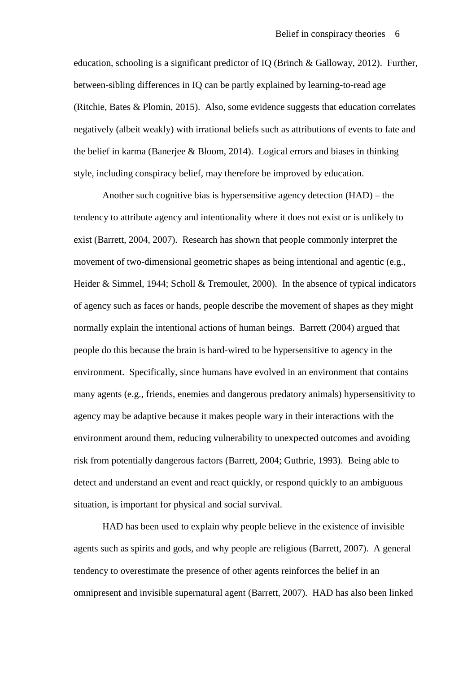education, schooling is a significant predictor of IQ (Brinch & Galloway, 2012). Further, between-sibling differences in IQ can be partly explained by learning-to-read age (Ritchie, Bates & Plomin, 2015). Also, some evidence suggests that education correlates negatively (albeit weakly) with irrational beliefs such as attributions of events to fate and the belief in karma (Banerjee & Bloom, 2014). Logical errors and biases in thinking style, including conspiracy belief, may therefore be improved by education.

Another such cognitive bias is hypersensitive agency detection (HAD) – the tendency to attribute agency and intentionality where it does not exist or is unlikely to exist (Barrett, 2004, 2007). Research has shown that people commonly interpret the movement of two-dimensional geometric shapes as being intentional and agentic (e.g., Heider & Simmel, 1944; Scholl & Tremoulet, 2000). In the absence of typical indicators of agency such as faces or hands, people describe the movement of shapes as they might normally explain the intentional actions of human beings. Barrett (2004) argued that people do this because the brain is hard-wired to be hypersensitive to agency in the environment. Specifically, since humans have evolved in an environment that contains many agents (e.g., friends, enemies and dangerous predatory animals) hypersensitivity to agency may be adaptive because it makes people wary in their interactions with the environment around them, reducing vulnerability to unexpected outcomes and avoiding risk from potentially dangerous factors (Barrett, 2004; Guthrie, 1993). Being able to detect and understand an event and react quickly, or respond quickly to an ambiguous situation, is important for physical and social survival.

HAD has been used to explain why people believe in the existence of invisible agents such as spirits and gods, and why people are religious (Barrett, 2007). A general tendency to overestimate the presence of other agents reinforces the belief in an omnipresent and invisible supernatural agent (Barrett, 2007). HAD has also been linked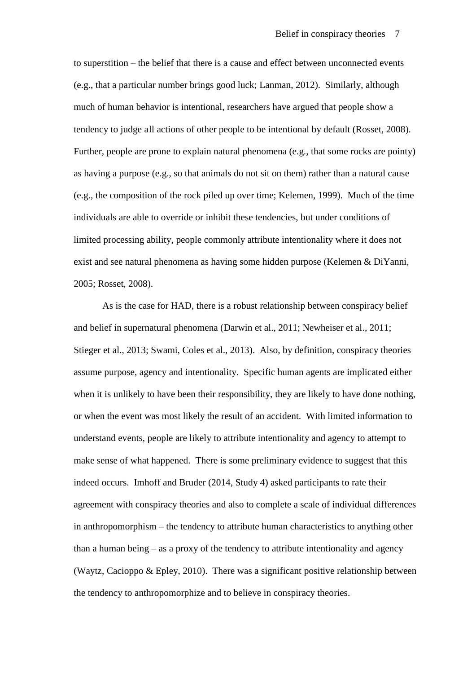to superstition – the belief that there is a cause and effect between unconnected events (e.g., that a particular number brings good luck; Lanman, 2012). Similarly, although much of human behavior is intentional, researchers have argued that people show a tendency to judge all actions of other people to be intentional by default (Rosset, 2008). Further, people are prone to explain natural phenomena (e.g., that some rocks are pointy) as having a purpose (e.g., so that animals do not sit on them) rather than a natural cause (e.g., the composition of the rock piled up over time; Kelemen, 1999). Much of the time individuals are able to override or inhibit these tendencies, but under conditions of limited processing ability, people commonly attribute intentionality where it does not exist and see natural phenomena as having some hidden purpose (Kelemen & DiYanni, 2005; Rosset, 2008).

As is the case for HAD, there is a robust relationship between conspiracy belief and belief in supernatural phenomena (Darwin et al., 2011; Newheiser et al., 2011; Stieger et al., 2013; Swami, Coles et al., 2013). Also, by definition, conspiracy theories assume purpose, agency and intentionality. Specific human agents are implicated either when it is unlikely to have been their responsibility, they are likely to have done nothing, or when the event was most likely the result of an accident. With limited information to understand events, people are likely to attribute intentionality and agency to attempt to make sense of what happened. There is some preliminary evidence to suggest that this indeed occurs. Imhoff and Bruder (2014, Study 4) asked participants to rate their agreement with conspiracy theories and also to complete a scale of individual differences in anthropomorphism – the tendency to attribute human characteristics to anything other than a human being – as a proxy of the tendency to attribute intentionality and agency (Waytz, Cacioppo & Epley, 2010). There was a significant positive relationship between the tendency to anthropomorphize and to believe in conspiracy theories.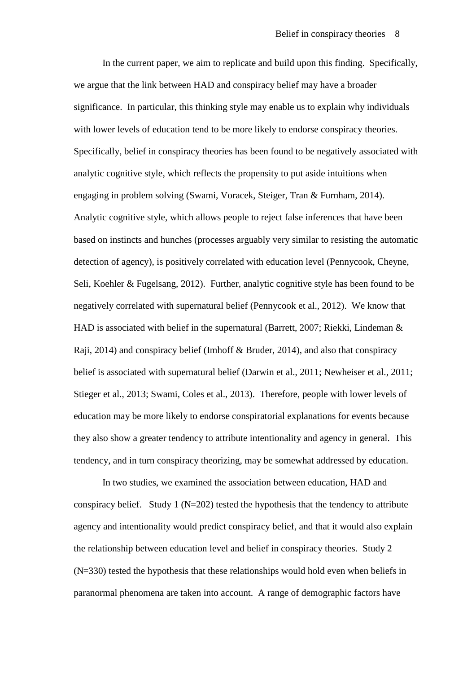In the current paper, we aim to replicate and build upon this finding. Specifically, we argue that the link between HAD and conspiracy belief may have a broader significance. In particular, this thinking style may enable us to explain why individuals with lower levels of education tend to be more likely to endorse conspiracy theories. Specifically, belief in conspiracy theories has been found to be negatively associated with analytic cognitive style, which reflects the propensity to put aside intuitions when engaging in problem solving (Swami, Voracek, Steiger, Tran & Furnham, 2014). Analytic cognitive style, which allows people to reject false inferences that have been based on instincts and hunches (processes arguably very similar to resisting the automatic detection of agency), is positively correlated with education level (Pennycook, Cheyne, Seli, Koehler & Fugelsang, 2012). Further, analytic cognitive style has been found to be negatively correlated with supernatural belief (Pennycook et al., 2012). We know that HAD is associated with belief in the supernatural (Barrett, 2007; Riekki, Lindeman & Raji, 2014) and conspiracy belief (Imhoff & Bruder, 2014), and also that conspiracy belief is associated with supernatural belief (Darwin et al., 2011; Newheiser et al., 2011; Stieger et al., 2013; Swami, Coles et al., 2013). Therefore, people with lower levels of education may be more likely to endorse conspiratorial explanations for events because they also show a greater tendency to attribute intentionality and agency in general. This tendency, and in turn conspiracy theorizing, may be somewhat addressed by education.

 In two studies, we examined the association between education, HAD and conspiracy belief. Study 1 ( $N=202$ ) tested the hypothesis that the tendency to attribute agency and intentionality would predict conspiracy belief, and that it would also explain the relationship between education level and belief in conspiracy theories. Study 2 (N=330) tested the hypothesis that these relationships would hold even when beliefs in paranormal phenomena are taken into account. A range of demographic factors have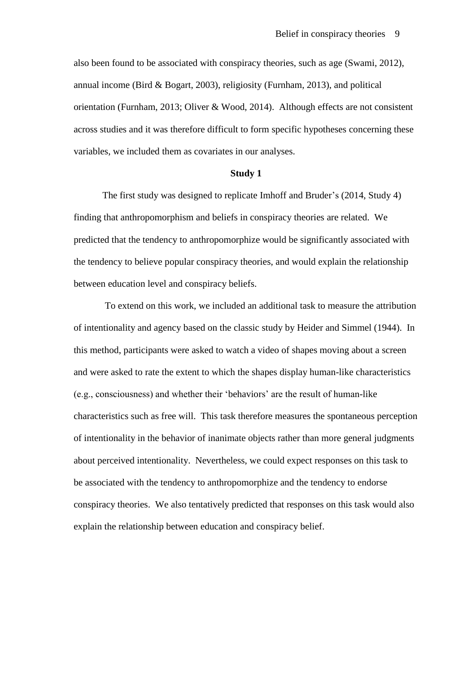also been found to be associated with conspiracy theories, such as age (Swami, 2012), annual income (Bird & Bogart, 2003), religiosity (Furnham, 2013), and political orientation (Furnham, 2013; Oliver & Wood, 2014). Although effects are not consistent across studies and it was therefore difficult to form specific hypotheses concerning these variables, we included them as covariates in our analyses.

#### **Study 1**

The first study was designed to replicate Imhoff and Bruder's (2014, Study 4) finding that anthropomorphism and beliefs in conspiracy theories are related. We predicted that the tendency to anthropomorphize would be significantly associated with the tendency to believe popular conspiracy theories, and would explain the relationship between education level and conspiracy beliefs.

 To extend on this work, we included an additional task to measure the attribution of intentionality and agency based on the classic study by Heider and Simmel (1944). In this method, participants were asked to watch a video of shapes moving about a screen and were asked to rate the extent to which the shapes display human-like characteristics (e.g., consciousness) and whether their 'behaviors' are the result of human-like characteristics such as free will. This task therefore measures the spontaneous perception of intentionality in the behavior of inanimate objects rather than more general judgments about perceived intentionality. Nevertheless, we could expect responses on this task to be associated with the tendency to anthropomorphize and the tendency to endorse conspiracy theories. We also tentatively predicted that responses on this task would also explain the relationship between education and conspiracy belief.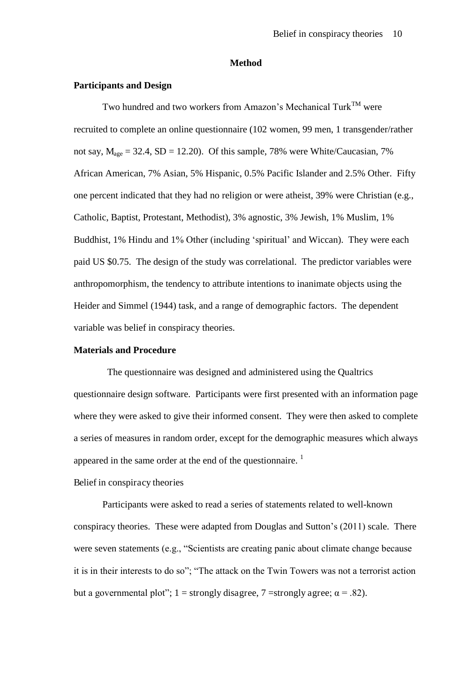#### **Method**

#### **Participants and Design**

Two hundred and two workers from Amazon's Mechanical Turk<sup>TM</sup> were recruited to complete an online questionnaire (102 women, 99 men, 1 transgender/rather not say,  $M_{\text{age}} = 32.4$ , SD = 12.20). Of this sample, 78% were White/Caucasian, 7% African American, 7% Asian, 5% Hispanic, 0.5% Pacific Islander and 2.5% Other. Fifty one percent indicated that they had no religion or were atheist, 39% were Christian (e.g., Catholic, Baptist, Protestant, Methodist), 3% agnostic, 3% Jewish, 1% Muslim, 1% Buddhist, 1% Hindu and 1% Other (including 'spiritual' and Wiccan). They were each paid US \$0.75. The design of the study was correlational. The predictor variables were anthropomorphism, the tendency to attribute intentions to inanimate objects using the Heider and Simmel (1944) task, and a range of demographic factors. The dependent variable was belief in conspiracy theories.

#### **Materials and Procedure**

 The questionnaire was designed and administered using the Qualtrics questionnaire design software. Participants were first presented with an information page where they were asked to give their informed consent. They were then asked to complete a series of measures in random order, except for the demographic measures which always appeared in the same order at the end of the questionnaire.  $1$ 

Belief in conspiracy theories

 Participants were asked to read a series of statements related to well-known conspiracy theories. These were adapted from Douglas and Sutton's (2011) scale. There were seven statements (e.g., "Scientists are creating panic about climate change because it is in their interests to do so"; "The attack on the Twin Towers was not a terrorist action but a governmental plot"; 1 = strongly disagree, 7 = strongly agree;  $\alpha$  = .82).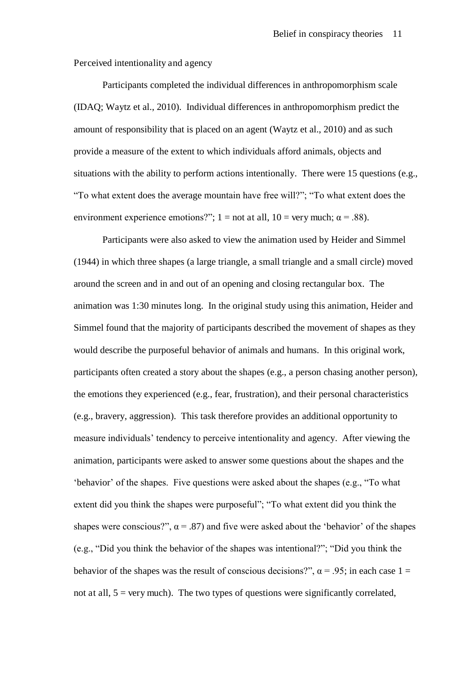Perceived intentionality and agency

Participants completed the individual differences in anthropomorphism scale (IDAQ; Waytz et al., 2010). Individual differences in anthropomorphism predict the amount of responsibility that is placed on an agent (Waytz et al., 2010) and as such provide a measure of the extent to which individuals afford animals, objects and situations with the ability to perform actions intentionally. There were 15 questions (e.g., "To what extent does the average mountain have free will?"; "To what extent does the environment experience emotions?"; 1 = not at all, 10 = very much;  $\alpha$  = .88).

Participants were also asked to view the animation used by Heider and Simmel (1944) in which three shapes (a large triangle, a small triangle and a small circle) moved around the screen and in and out of an opening and closing rectangular box. The animation was 1:30 minutes long. In the original study using this animation, Heider and Simmel found that the majority of participants described the movement of shapes as they would describe the purposeful behavior of animals and humans. In this original work, participants often created a story about the shapes (e.g., a person chasing another person), the emotions they experienced (e.g., fear, frustration), and their personal characteristics (e.g., bravery, aggression). This task therefore provides an additional opportunity to measure individuals' tendency to perceive intentionality and agency. After viewing the animation, participants were asked to answer some questions about the shapes and the 'behavior' of the shapes. Five questions were asked about the shapes (e.g., "To what extent did you think the shapes were purposeful"; "To what extent did you think the shapes were conscious?",  $\alpha$  = .87) and five were asked about the 'behavior' of the shapes (e.g., "Did you think the behavior of the shapes was intentional?"; "Did you think the behavior of the shapes was the result of conscious decisions?",  $\alpha$  = .95; in each case 1 = not at all,  $5 = \text{very much}$ . The two types of questions were significantly correlated,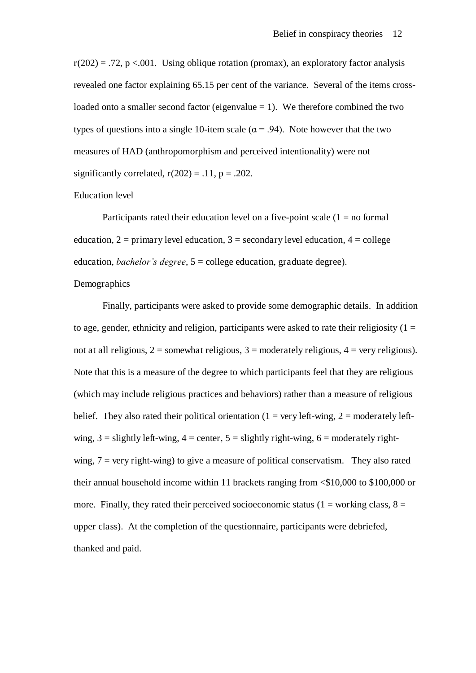$r(202) = .72$ , p <.001. Using oblique rotation (promax), an exploratory factor analysis revealed one factor explaining 65.15 per cent of the variance. Several of the items crossloaded onto a smaller second factor (eigenvalue  $= 1$ ). We therefore combined the two types of questions into a single 10-item scale ( $\alpha$  = .94). Note however that the two measures of HAD (anthropomorphism and perceived intentionality) were not significantly correlated,  $r(202) = .11$ ,  $p = .202$ .

#### Education level

Participants rated their education level on a five-point scale  $(1 = no$  formal education,  $2 = \text{primary level education}, 3 = \text{secondary level education}, 4 = \text{college}$ education, *bachelor's degree*, 5 = college education, graduate degree).

#### Demographics

Finally, participants were asked to provide some demographic details. In addition to age, gender, ethnicity and religion, participants were asked to rate their religiosity  $(1 =$ not at all religious,  $2 =$  somewhat religious,  $3 =$  moderately religious,  $4 =$  very religious). Note that this is a measure of the degree to which participants feel that they are religious (which may include religious practices and behaviors) rather than a measure of religious belief. They also rated their political orientation (1 = very left-wing, 2 = moderately leftwing,  $3 =$  slightly left-wing,  $4 =$  center,  $5 =$  slightly right-wing,  $6 =$  moderately rightwing,  $7 = \text{very right}$  to give a measure of political conservatism. They also rated their annual household income within 11 brackets ranging from <\$10,000 to \$100,000 or more. Finally, they rated their perceived socioeconomic status ( $1 =$  working class,  $8 =$ upper class). At the completion of the questionnaire, participants were debriefed, thanked and paid.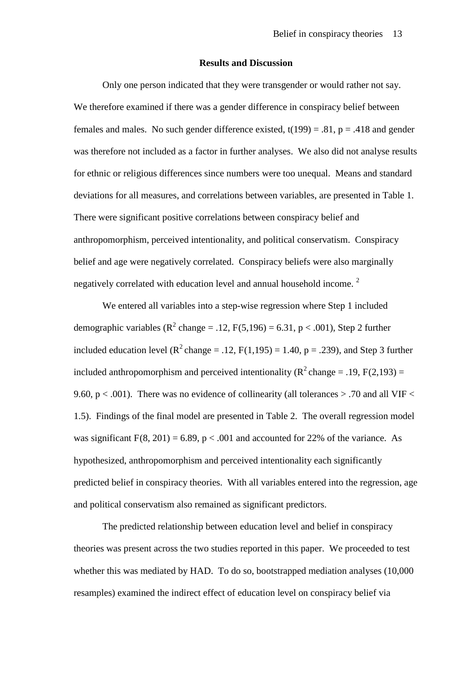#### **Results and Discussion**

Only one person indicated that they were transgender or would rather not say. We therefore examined if there was a gender difference in conspiracy belief between females and males. No such gender difference existed,  $t(199) = .81$ ,  $p = .418$  and gender was therefore not included as a factor in further analyses. We also did not analyse results for ethnic or religious differences since numbers were too unequal. Means and standard deviations for all measures, and correlations between variables, are presented in Table 1. There were significant positive correlations between conspiracy belief and anthropomorphism, perceived intentionality, and political conservatism. Conspiracy belief and age were negatively correlated. Conspiracy beliefs were also marginally negatively correlated with education level and annual household income.<sup>2</sup>

We entered all variables into a step-wise regression where Step 1 included demographic variables ( $R^2$  change = .12,  $F(5,196) = 6.31$ ,  $p < .001$ ), Step 2 further included education level ( $R^2$ change = .12, F(1,195) = 1.40, p = .239), and Step 3 further included anthropomorphism and perceived intentionality ( $\mathbb{R}^2$  change = .19, F(2,193) = 9.60,  $p < .001$ ). There was no evidence of collinearity (all tolerances  $> .70$  and all VIF  $<$ 1.5). Findings of the final model are presented in Table 2. The overall regression model was significant  $F(8, 201) = 6.89$ ,  $p < .001$  and accounted for 22% of the variance. As hypothesized, anthropomorphism and perceived intentionality each significantly predicted belief in conspiracy theories. With all variables entered into the regression, age and political conservatism also remained as significant predictors.

The predicted relationship between education level and belief in conspiracy theories was present across the two studies reported in this paper. We proceeded to test whether this was mediated by HAD. To do so, bootstrapped mediation analyses (10,000 resamples) examined the indirect effect of education level on conspiracy belief via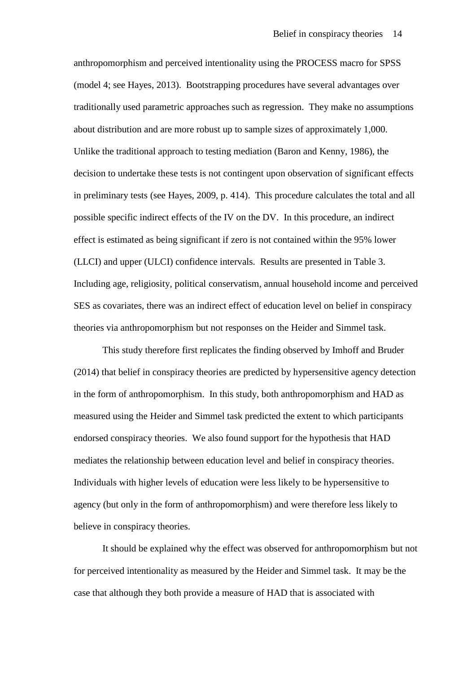anthropomorphism and perceived intentionality using the PROCESS macro for SPSS (model 4; see Hayes, 2013). Bootstrapping procedures have several advantages over traditionally used parametric approaches such as regression. They make no assumptions about distribution and are more robust up to sample sizes of approximately 1,000. Unlike the traditional approach to testing mediation (Baron and Kenny, 1986), the decision to undertake these tests is not contingent upon observation of significant effects in preliminary tests (see Hayes, 2009, p. 414). This procedure calculates the total and all possible specific indirect effects of the IV on the DV. In this procedure, an indirect effect is estimated as being significant if zero is not contained within the 95% lower (LLCI) and upper (ULCI) confidence intervals. Results are presented in Table 3. Including age, religiosity, political conservatism, annual household income and perceived SES as covariates, there was an indirect effect of education level on belief in conspiracy theories via anthropomorphism but not responses on the Heider and Simmel task.

This study therefore first replicates the finding observed by Imhoff and Bruder (2014) that belief in conspiracy theories are predicted by hypersensitive agency detection in the form of anthropomorphism. In this study, both anthropomorphism and HAD as measured using the Heider and Simmel task predicted the extent to which participants endorsed conspiracy theories. We also found support for the hypothesis that HAD mediates the relationship between education level and belief in conspiracy theories. Individuals with higher levels of education were less likely to be hypersensitive to agency (but only in the form of anthropomorphism) and were therefore less likely to believe in conspiracy theories.

It should be explained why the effect was observed for anthropomorphism but not for perceived intentionality as measured by the Heider and Simmel task. It may be the case that although they both provide a measure of HAD that is associated with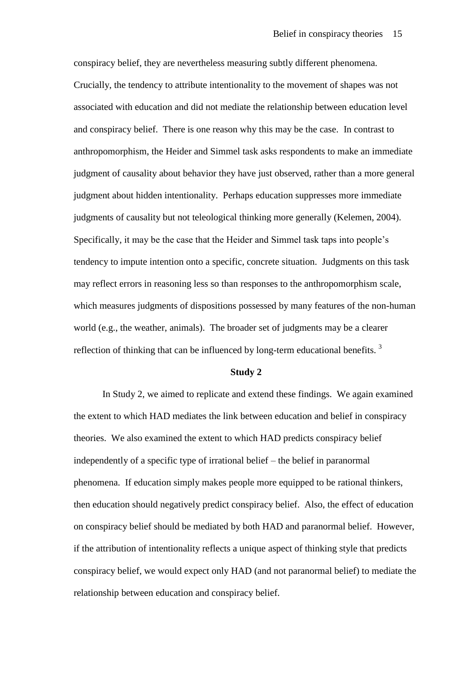conspiracy belief, they are nevertheless measuring subtly different phenomena. Crucially, the tendency to attribute intentionality to the movement of shapes was not associated with education and did not mediate the relationship between education level and conspiracy belief. There is one reason why this may be the case. In contrast to anthropomorphism, the Heider and Simmel task asks respondents to make an immediate judgment of causality about behavior they have just observed, rather than a more general judgment about hidden intentionality. Perhaps education suppresses more immediate judgments of causality but not teleological thinking more generally (Kelemen, 2004). Specifically, it may be the case that the Heider and Simmel task taps into people's tendency to impute intention onto a specific, concrete situation. Judgments on this task may reflect errors in reasoning less so than responses to the anthropomorphism scale, which measures judgments of dispositions possessed by many features of the non-human world (e.g., the weather, animals). The broader set of judgments may be a clearer reflection of thinking that can be influenced by long-term educational benefits.  $3$ 

#### **Study 2**

In Study 2, we aimed to replicate and extend these findings. We again examined the extent to which HAD mediates the link between education and belief in conspiracy theories. We also examined the extent to which HAD predicts conspiracy belief independently of a specific type of irrational belief – the belief in paranormal phenomena. If education simply makes people more equipped to be rational thinkers, then education should negatively predict conspiracy belief. Also, the effect of education on conspiracy belief should be mediated by both HAD and paranormal belief. However, if the attribution of intentionality reflects a unique aspect of thinking style that predicts conspiracy belief, we would expect only HAD (and not paranormal belief) to mediate the relationship between education and conspiracy belief.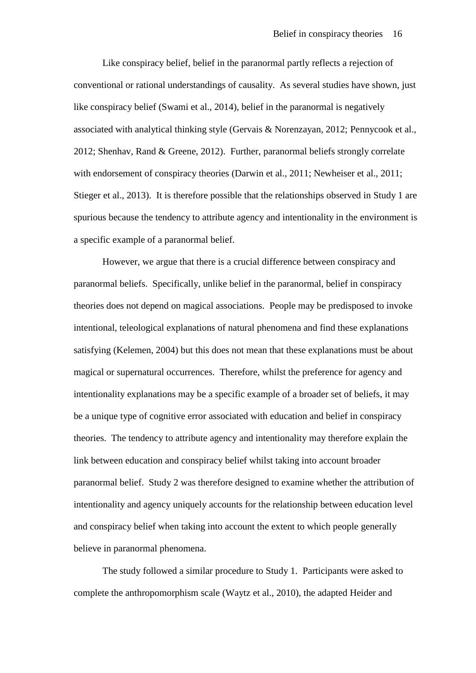Like conspiracy belief, belief in the paranormal partly reflects a rejection of conventional or rational understandings of causality. As several studies have shown, just like conspiracy belief (Swami et al., 2014), belief in the paranormal is negatively associated with analytical thinking style (Gervais & Norenzayan, 2012; Pennycook et al., 2012; Shenhav, Rand & Greene, 2012). Further, paranormal beliefs strongly correlate with endorsement of conspiracy theories (Darwin et al., 2011; Newheiser et al., 2011; Stieger et al., 2013). It is therefore possible that the relationships observed in Study 1 are spurious because the tendency to attribute agency and intentionality in the environment is a specific example of a paranormal belief.

However, we argue that there is a crucial difference between conspiracy and paranormal beliefs. Specifically, unlike belief in the paranormal, belief in conspiracy theories does not depend on magical associations. People may be predisposed to invoke intentional, teleological explanations of natural phenomena and find these explanations satisfying (Kelemen, 2004) but this does not mean that these explanations must be about magical or supernatural occurrences. Therefore, whilst the preference for agency and intentionality explanations may be a specific example of a broader set of beliefs, it may be a unique type of cognitive error associated with education and belief in conspiracy theories. The tendency to attribute agency and intentionality may therefore explain the link between education and conspiracy belief whilst taking into account broader paranormal belief. Study 2 was therefore designed to examine whether the attribution of intentionality and agency uniquely accounts for the relationship between education level and conspiracy belief when taking into account the extent to which people generally believe in paranormal phenomena.

The study followed a similar procedure to Study 1. Participants were asked to complete the anthropomorphism scale (Waytz et al., 2010), the adapted Heider and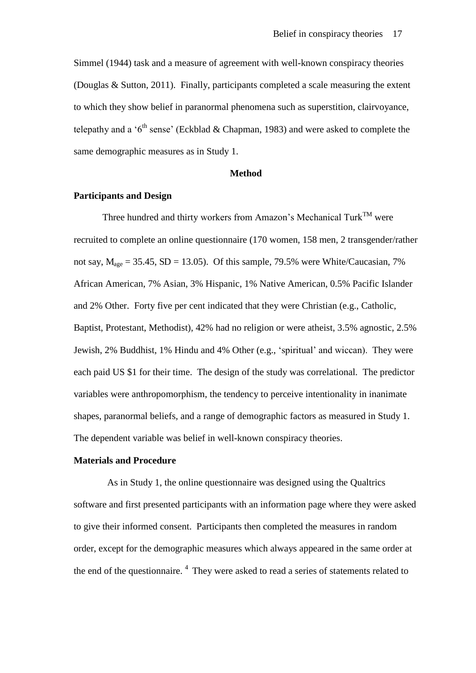Simmel (1944) task and a measure of agreement with well-known conspiracy theories (Douglas & Sutton, 2011). Finally, participants completed a scale measuring the extent to which they show belief in paranormal phenomena such as superstition, clairvoyance, telepathy and a ' $6<sup>th</sup>$  sense' (Eckblad & Chapman, 1983) and were asked to complete the same demographic measures as in Study 1.

#### **Method**

#### **Participants and Design**

Three hundred and thirty workers from Amazon's Mechanical Turk<sup>TM</sup> were recruited to complete an online questionnaire (170 women, 158 men, 2 transgender/rather not say,  $M_{\text{age}} = 35.45$ , SD = 13.05). Of this sample, 79.5% were White/Caucasian, 7% African American, 7% Asian, 3% Hispanic, 1% Native American, 0.5% Pacific Islander and 2% Other. Forty five per cent indicated that they were Christian (e.g., Catholic, Baptist, Protestant, Methodist), 42% had no religion or were atheist, 3.5% agnostic, 2.5% Jewish, 2% Buddhist, 1% Hindu and 4% Other (e.g., 'spiritual' and wiccan). They were each paid US \$1 for their time. The design of the study was correlational. The predictor variables were anthropomorphism, the tendency to perceive intentionality in inanimate shapes, paranormal beliefs, and a range of demographic factors as measured in Study 1. The dependent variable was belief in well-known conspiracy theories.

#### **Materials and Procedure**

 As in Study 1, the online questionnaire was designed using the Qualtrics software and first presented participants with an information page where they were asked to give their informed consent. Participants then completed the measures in random order, except for the demographic measures which always appeared in the same order at the end of the questionnaire.<sup>4</sup> They were asked to read a series of statements related to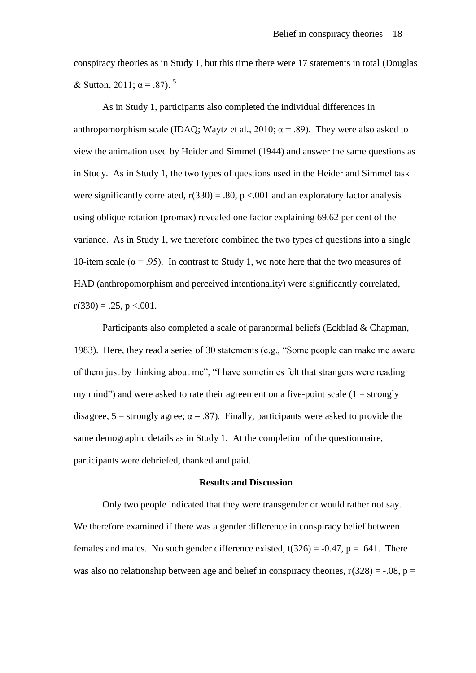conspiracy theories as in Study 1, but this time there were 17 statements in total (Douglas & Sutton, 2011;  $\alpha$  = .87).<sup>5</sup>

As in Study 1, participants also completed the individual differences in anthropomorphism scale (IDAQ; Waytz et al., 2010;  $\alpha$  = .89). They were also asked to view the animation used by Heider and Simmel (1944) and answer the same questions as in Study. As in Study 1, the two types of questions used in the Heider and Simmel task were significantly correlated,  $r(330) = .80$ ,  $p < .001$  and an exploratory factor analysis using oblique rotation (promax) revealed one factor explaining 69.62 per cent of the variance. As in Study 1, we therefore combined the two types of questions into a single 10-item scale ( $\alpha$  = .95). In contrast to Study 1, we note here that the two measures of HAD (anthropomorphism and perceived intentionality) were significantly correlated,  $r(330) = .25$ , p <.001.

Participants also completed a scale of paranormal beliefs (Eckblad & Chapman, 1983). Here, they read a series of 30 statements (e.g., "Some people can make me aware of them just by thinking about me", "I have sometimes felt that strangers were reading my mind") and were asked to rate their agreement on a five-point scale  $(1 = \text{strongly})$ disagree,  $5 =$  strongly agree;  $\alpha = .87$ ). Finally, participants were asked to provide the same demographic details as in Study 1. At the completion of the questionnaire, participants were debriefed, thanked and paid.

#### **Results and Discussion**

Only two people indicated that they were transgender or would rather not say. We therefore examined if there was a gender difference in conspiracy belief between females and males. No such gender difference existed,  $t(326) = -0.47$ ,  $p = .641$ . There was also no relationship between age and belief in conspiracy theories,  $r(328) = -.08$ ,  $p =$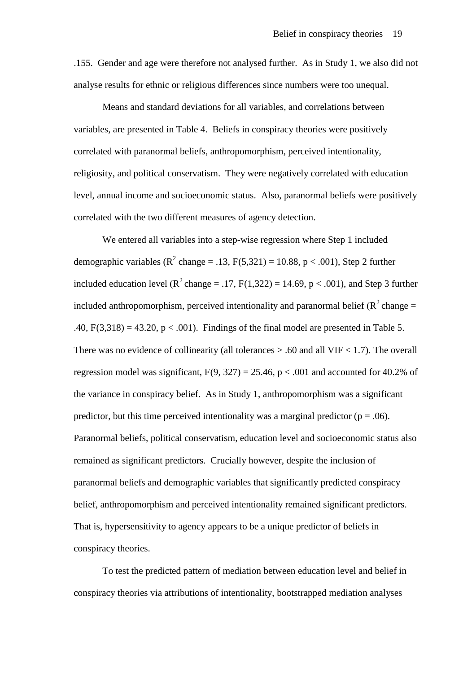.155. Gender and age were therefore not analysed further. As in Study 1, we also did not analyse results for ethnic or religious differences since numbers were too unequal.

Means and standard deviations for all variables, and correlations between variables, are presented in Table 4. Beliefs in conspiracy theories were positively correlated with paranormal beliefs, anthropomorphism, perceived intentionality, religiosity, and political conservatism. They were negatively correlated with education level, annual income and socioeconomic status. Also, paranormal beliefs were positively correlated with the two different measures of agency detection.

We entered all variables into a step-wise regression where Step 1 included demographic variables ( $\mathbb{R}^2$  change = .13,  $F(5,321) = 10.88$ , p < .001), Step 2 further included education level ( $R^2$ change = .17, F(1,322) = 14.69, p < .001), and Step 3 further included anthropomorphism, perceived intentionality and paranormal belief ( $R^2$ change = .40,  $F(3,318) = 43.20$ ,  $p < .001$ ). Findings of the final model are presented in Table 5. There was no evidence of collinearity (all tolerances  $> .60$  and all VIF  $< 1.7$ ). The overall regression model was significant,  $F(9, 327) = 25.46$ ,  $p < .001$  and accounted for 40.2% of the variance in conspiracy belief. As in Study 1, anthropomorphism was a significant predictor, but this time perceived intentionality was a marginal predictor ( $p = .06$ ). Paranormal beliefs, political conservatism, education level and socioeconomic status also remained as significant predictors. Crucially however, despite the inclusion of paranormal beliefs and demographic variables that significantly predicted conspiracy belief, anthropomorphism and perceived intentionality remained significant predictors. That is, hypersensitivity to agency appears to be a unique predictor of beliefs in conspiracy theories.

To test the predicted pattern of mediation between education level and belief in conspiracy theories via attributions of intentionality, bootstrapped mediation analyses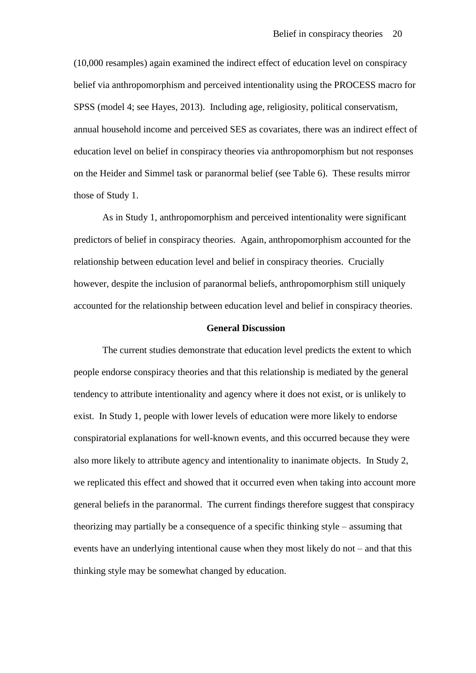(10,000 resamples) again examined the indirect effect of education level on conspiracy belief via anthropomorphism and perceived intentionality using the PROCESS macro for SPSS (model 4; see Hayes, 2013). Including age, religiosity, political conservatism, annual household income and perceived SES as covariates, there was an indirect effect of education level on belief in conspiracy theories via anthropomorphism but not responses on the Heider and Simmel task or paranormal belief (see Table 6). These results mirror those of Study 1.

As in Study 1, anthropomorphism and perceived intentionality were significant predictors of belief in conspiracy theories. Again, anthropomorphism accounted for the relationship between education level and belief in conspiracy theories. Crucially however, despite the inclusion of paranormal beliefs, anthropomorphism still uniquely accounted for the relationship between education level and belief in conspiracy theories.

#### **General Discussion**

The current studies demonstrate that education level predicts the extent to which people endorse conspiracy theories and that this relationship is mediated by the general tendency to attribute intentionality and agency where it does not exist, or is unlikely to exist. In Study 1, people with lower levels of education were more likely to endorse conspiratorial explanations for well-known events, and this occurred because they were also more likely to attribute agency and intentionality to inanimate objects. In Study 2, we replicated this effect and showed that it occurred even when taking into account more general beliefs in the paranormal. The current findings therefore suggest that conspiracy theorizing may partially be a consequence of a specific thinking style – assuming that events have an underlying intentional cause when they most likely do not – and that this thinking style may be somewhat changed by education.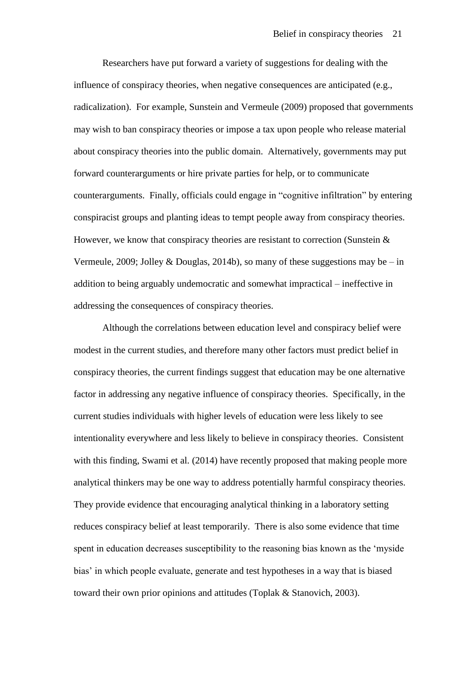Researchers have put forward a variety of suggestions for dealing with the influence of conspiracy theories, when negative consequences are anticipated (e.g., radicalization). For example, Sunstein and Vermeule (2009) proposed that governments may wish to ban conspiracy theories or impose a tax upon people who release material about conspiracy theories into the public domain. Alternatively, governments may put forward counterarguments or hire private parties for help, or to communicate counterarguments. Finally, officials could engage in "cognitive infiltration" by entering conspiracist groups and planting ideas to tempt people away from conspiracy theories. However, we know that conspiracy theories are resistant to correction (Sunstein & Vermeule, 2009; Jolley & Douglas, 2014b), so many of these suggestions may be – in addition to being arguably undemocratic and somewhat impractical – ineffective in addressing the consequences of conspiracy theories.

Although the correlations between education level and conspiracy belief were modest in the current studies, and therefore many other factors must predict belief in conspiracy theories, the current findings suggest that education may be one alternative factor in addressing any negative influence of conspiracy theories. Specifically, in the current studies individuals with higher levels of education were less likely to see intentionality everywhere and less likely to believe in conspiracy theories. Consistent with this finding, Swami et al. (2014) have recently proposed that making people more analytical thinkers may be one way to address potentially harmful conspiracy theories. They provide evidence that encouraging analytical thinking in a laboratory setting reduces conspiracy belief at least temporarily. There is also some evidence that time spent in education decreases susceptibility to the reasoning bias known as the 'myside bias' in which people evaluate, generate and test hypotheses in a way that is biased toward their own prior opinions and attitudes (Toplak & Stanovich, 2003).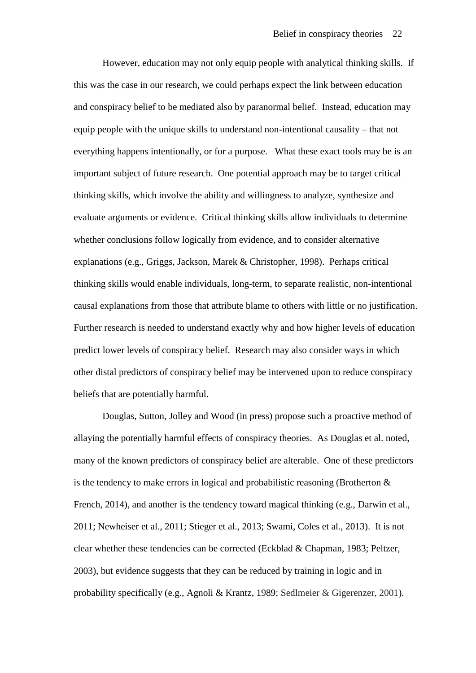However, education may not only equip people with analytical thinking skills. If this was the case in our research, we could perhaps expect the link between education and conspiracy belief to be mediated also by paranormal belief. Instead, education may equip people with the unique skills to understand non-intentional causality – that not everything happens intentionally, or for a purpose. What these exact tools may be is an important subject of future research. One potential approach may be to target critical thinking skills, which involve the ability and willingness to analyze, synthesize and evaluate arguments or evidence. Critical thinking skills allow individuals to determine whether conclusions follow logically from evidence, and to consider alternative explanations (e.g., Griggs, Jackson, Marek & Christopher, 1998). Perhaps critical thinking skills would enable individuals, long-term, to separate realistic, non-intentional causal explanations from those that attribute blame to others with little or no justification. Further research is needed to understand exactly why and how higher levels of education predict lower levels of conspiracy belief. Research may also consider ways in which other distal predictors of conspiracy belief may be intervened upon to reduce conspiracy beliefs that are potentially harmful.

Douglas, Sutton, Jolley and Wood (in press) propose such a proactive method of allaying the potentially harmful effects of conspiracy theories. As Douglas et al. noted, many of the known predictors of conspiracy belief are alterable. One of these predictors is the tendency to make errors in logical and probabilistic reasoning (Brotherton & French, 2014), and another is the tendency toward magical thinking (e.g., Darwin et al., 2011; Newheiser et al., 2011; Stieger et al., 2013; Swami, Coles et al., 2013). It is not clear whether these tendencies can be corrected (Eckblad & Chapman, 1983; Peltzer, 2003), but evidence suggests that they can be reduced by training in logic and in probability specifically (e.g., Agnoli & Krantz, 1989; Sedlmeier & Gigerenzer, 2001).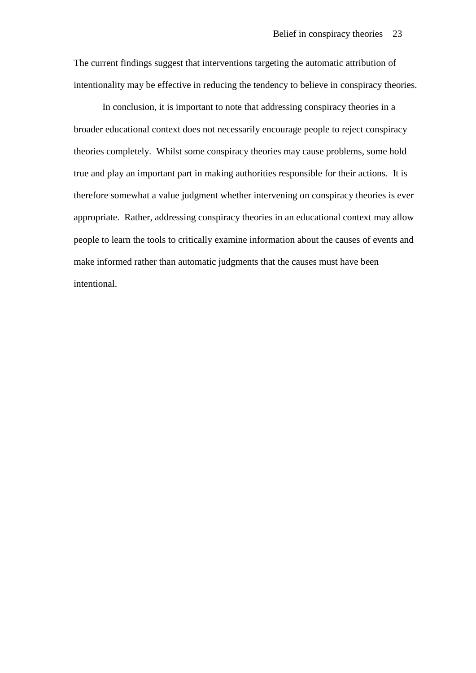The current findings suggest that interventions targeting the automatic attribution of intentionality may be effective in reducing the tendency to believe in conspiracy theories.

In conclusion, it is important to note that addressing conspiracy theories in a broader educational context does not necessarily encourage people to reject conspiracy theories completely. Whilst some conspiracy theories may cause problems, some hold true and play an important part in making authorities responsible for their actions. It is therefore somewhat a value judgment whether intervening on conspiracy theories is ever appropriate. Rather, addressing conspiracy theories in an educational context may allow people to learn the tools to critically examine information about the causes of events and make informed rather than automatic judgments that the causes must have been intentional.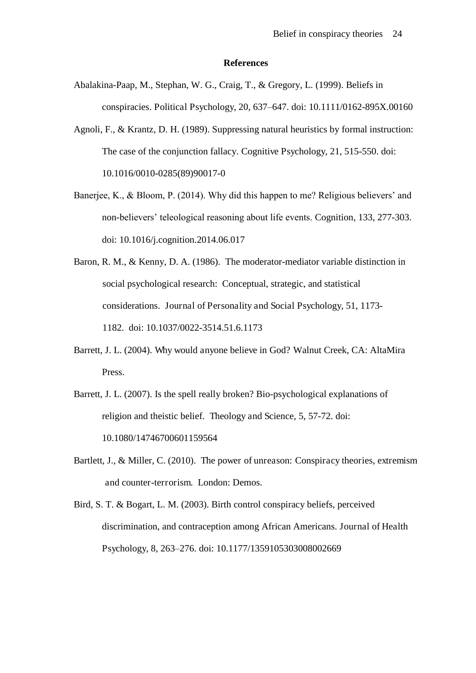#### **References**

- Abalakina-Paap, M., Stephan, W. G., Craig, T., & Gregory, L. (1999). Beliefs in conspiracies. Political Psychology, 20, 637–647. doi: 10.1111/0162-895X.00160
- Agnoli, F., & Krantz, D. H. (1989). Suppressing natural heuristics by formal instruction: The case of the conjunction fallacy. Cognitive Psychology, 21, 515-550. doi: 10.1016/0010-0285(89)90017-0
- Banerjee, K., & Bloom, P. (2014). Why did this happen to me? Religious believers' and non-believers' teleological reasoning about life events. Cognition, 133, 277-303. doi: 10.1016/j.cognition.2014.06.017
- Baron, R. M., & Kenny, D. A. (1986). The moderator-mediator variable distinction in social psychological research: Conceptual, strategic, and statistical considerations. Journal of Personality and Social Psychology, 51, 1173- 1182. doi: 10.1037/0022-3514.51.6.1173
- Barrett, J. L. (2004). Why would anyone believe in God? Walnut Creek, CA: AltaMira Press.
- Barrett, J. L. (2007). Is the spell really broken? Bio-psychological explanations of religion and theistic belief. Theology and Science, 5, 57-72. doi: 10.1080/14746700601159564
- Bartlett, J., & Miller, C. (2010). The power of unreason: Conspiracy theories, extremism and counter-terrorism. London: Demos.
- Bird, S. T. & Bogart, L. M. (2003). Birth control conspiracy beliefs, perceived discrimination, and contraception among African Americans. Journal of Health Psychology, 8, 263–276. doi: 10.1177/1359105303008002669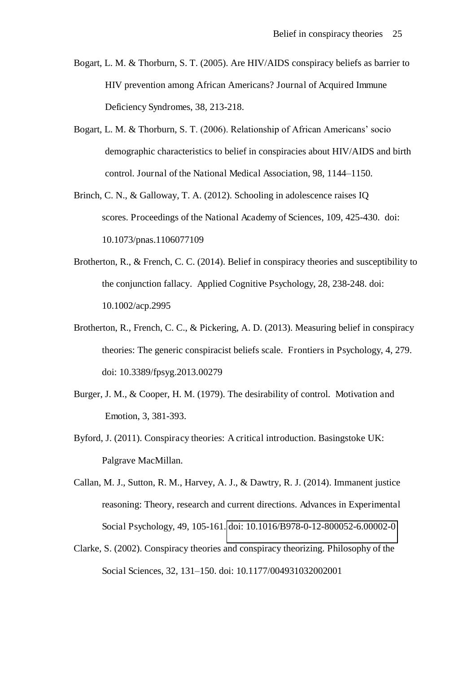- Bogart, L. M. & Thorburn, S. T. (2005). Are HIV/AIDS conspiracy beliefs as barrier to HIV prevention among African Americans? Journal of Acquired Immune Deficiency Syndromes, 38, 213-218.
- Bogart, L. M. & Thorburn, S. T. (2006). Relationship of African Americans' socio demographic characteristics to belief in conspiracies about HIV/AIDS and birth control. Journal of the National Medical Association, 98, 1144–1150.
- Brinch, C. N., & Galloway, T. A. (2012). Schooling in adolescence raises IQ scores. Proceedings of the National Academy of Sciences, 109, 425-430. doi: 10.1073/pnas.1106077109
- Brotherton, R., & French, C. C. (2014). Belief in conspiracy theories and susceptibility to the conjunction fallacy. Applied Cognitive Psychology, 28, 238-248. doi: 10.1002/acp.2995
- Brotherton, R., French, C. C., & Pickering, A. D. (2013). Measuring belief in conspiracy theories: The generic conspiracist beliefs scale. Frontiers in Psychology, 4, 279. doi: 10.3389/fpsyg.2013.00279
- Burger, J. M., & Cooper, H. M. (1979). The desirability of control. Motivation and Emotion, 3, 381-393.
- Byford, J. (2011). Conspiracy theories: A critical introduction. Basingstoke UK: Palgrave MacMillan.
- Callan, M. J., Sutton, R. M., Harvey, A. J., & Dawtry, R. J. (2014). Immanent justice reasoning: Theory, research and current directions. Advances in Experimental Social Psychology, 49, 105-161. [doi: 10.1016/B978-0-12-800052-6.00002-0](http://dx.doi.org/10.1016/B978-0-12-800052-6.00002-0)
- Clarke, S. (2002). Conspiracy theories and conspiracy theorizing. Philosophy of the Social Sciences, 32, 131–150. doi: 10.1177/004931032002001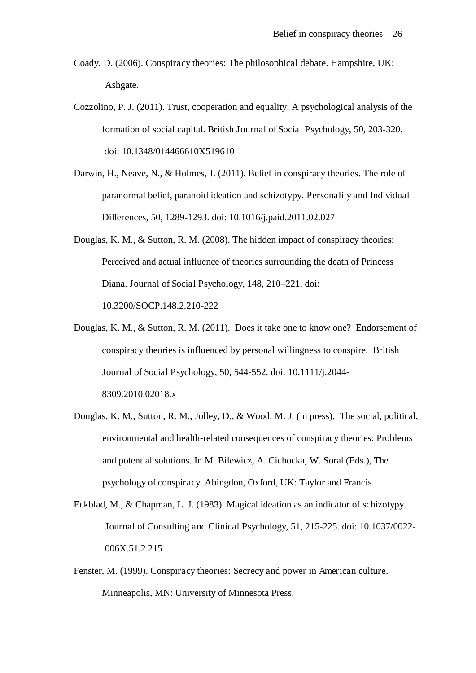- Coady, D. (2006). Conspiracy theories: The philosophical debate. Hampshire, UK: Ashgate.
- Cozzolino, P. J. (2011). Trust, cooperation and equality: A psychological analysis of the formation of social capital. British Journal of Social Psychology, 50, 203-320. doi: 10.1348/014466610X519610
- Darwin, H., Neave, N., & Holmes, J. (2011). Belief in conspiracy theories. The role of paranormal belief, paranoid ideation and schizotypy. Personality and Individual Differences, 50, 1289-1293. doi: 10.1016/j.paid.2011.02.027
- Douglas, K. M., & Sutton, R. M. (2008). The hidden impact of conspiracy theories: Perceived and actual influence of theories surrounding the death of Princess Diana. Journal of Social Psychology, 148, 210–221. doi: 10.3200/SOCP.148.2.210-222
- Douglas, K. M., & Sutton, R. M. (2011). Does it take one to know one? Endorsement of conspiracy theories is influenced by personal willingness to conspire. British Journal of Social Psychology, 50, 544-552. doi: 10.1111/j.2044- 8309.2010.02018.x
- Douglas, K. M., Sutton, R. M., Jolley, D., & Wood, M. J. (in press). The social, political, environmental and health-related consequences of conspiracy theories: Problems and potential solutions. In M. Bilewicz, A. Cichocka, W. Soral (Eds.), The psychology of conspiracy. Abingdon, Oxford, UK: Taylor and Francis.
- Eckblad, M., & Chapman, L. J. (1983). Magical ideation as an indicator of schizotypy. Journal of Consulting and Clinical Psychology, 51, 215-225. doi: 10.1037/0022- 006X.51.2.215
- Fenster, M. (1999). Conspiracy theories: Secrecy and power in American culture. Minneapolis, MN: University of Minnesota Press.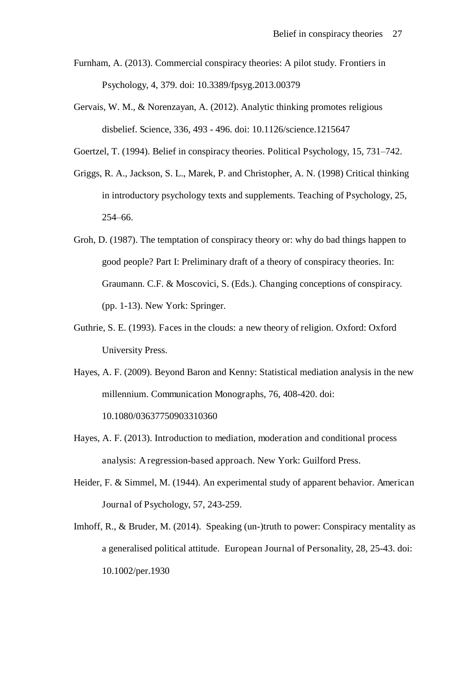- Furnham, A. (2013). Commercial conspiracy theories: A pilot study. Frontiers in Psychology, 4, 379. doi: 10.3389/fpsyg.2013.00379
- Gervais, W. M., & Norenzayan, A. (2012). Analytic thinking promotes religious disbelief. Science, 336, 493 - 496. doi: 10.1126/science.1215647
- Goertzel, T. (1994). Belief in conspiracy theories. Political Psychology, 15, 731–742.
- Griggs, R. A., Jackson, S. L., Marek, P. and Christopher, A. N. (1998) Critical thinking in introductory psychology texts and supplements. Teaching of Psychology, 25, 254–66.
- Groh, D. (1987). The temptation of conspiracy theory or: why do bad things happen to good people? Part I: Preliminary draft of a theory of conspiracy theories. In: Graumann. C.F. & Moscovici, S. (Eds.). Changing conceptions of conspiracy. (pp. 1-13). New York: Springer.
- Guthrie, S. E. (1993). Faces in the clouds: a new theory of religion. Oxford: Oxford University Press.
- Hayes, A. F. (2009). Beyond Baron and Kenny: Statistical mediation analysis in the new millennium. Communication Monographs, 76, 408-420. doi: 10.1080/03637750903310360
- Hayes, A. F. (2013). Introduction to mediation, moderation and conditional process analysis: A regression-based approach. New York: Guilford Press.
- Heider, F. & Simmel, M. (1944). An experimental study of apparent behavior. American Journal of Psychology, 57, 243-259.
- Imhoff, R., & Bruder, M. (2014). Speaking (un-)truth to power: Conspiracy mentality as a generalised political attitude. European Journal of Personality, 28, 25-43. doi: 10.1002/per.1930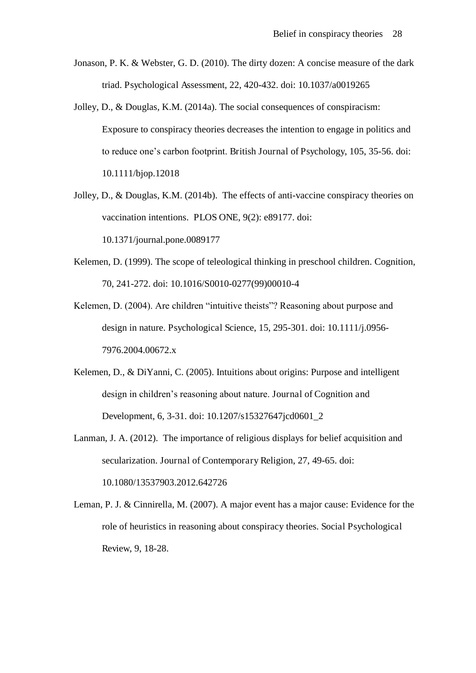- Jonason, P. K. & Webster, G. D. (2010). The dirty dozen: A concise measure of the dark triad. Psychological Assessment, 22, 420-432. doi: 10.1037/a0019265
- Jolley, D., & Douglas, K.M. (2014a). The social consequences of conspiracism: Exposure to conspiracy theories decreases the intention to engage in politics and to reduce one's carbon footprint. British Journal of Psychology, 105, 35-56. doi: 10.1111/bjop.12018
- Jolley, D., & Douglas, K.M. (2014b). The effects of anti-vaccine conspiracy theories on vaccination intentions. PLOS ONE, 9(2): e89177. doi: 10.1371/journal.pone.0089177
- Kelemen, D. (1999). The scope of teleological thinking in preschool children. Cognition, 70, 241-272. doi: 10.1016/S0010-0277(99)00010-4
- Kelemen, D. (2004). Are children "intuitive theists"? Reasoning about purpose and design in nature. Psychological Science, 15, 295-301. doi: 10.1111/j.0956- 7976.2004.00672.x
- Kelemen, D., & DiYanni, C. (2005). Intuitions about origins: Purpose and intelligent design in children's reasoning about nature. Journal of Cognition and Development, 6, 3-31. doi: 10.1207/s15327647jcd0601\_2
- Lanman, J. A. (2012). The importance of religious displays for belief acquisition and secularization. Journal of Contemporary Religion, 27, 49-65. doi: 10.1080/13537903.2012.642726
- Leman, P. J. & Cinnirella, M. (2007). A major event has a major cause: Evidence for the role of heuristics in reasoning about conspiracy theories. Social Psychological Review, 9, 18-28.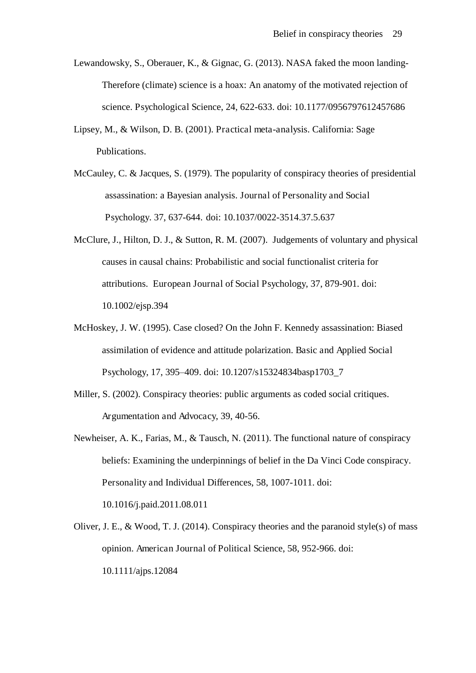- Lewandowsky, S., Oberauer, K., & Gignac, G. (2013). NASA faked the moon landing-Therefore (climate) science is a hoax: An anatomy of the motivated rejection of science. Psychological Science, 24, 622-633. doi: 10.1177/0956797612457686
- Lipsey, M., & Wilson, D. B. (2001). Practical meta-analysis. California: Sage Publications.
- McCauley, C. & Jacques, S. (1979). The popularity of conspiracy theories of presidential assassination: a Bayesian analysis. Journal of Personality and Social Psychology. 37, 637-644. doi: 10.1037/0022-3514.37.5.637
- McClure, J., Hilton, D. J., & Sutton, R. M. (2007). Judgements of voluntary and physical causes in causal chains: Probabilistic and social functionalist criteria for attributions. European Journal of Social Psychology, 37, 879-901. doi: 10.1002/ejsp.394
- McHoskey, J. W. (1995). Case closed? On the John F. Kennedy assassination: Biased assimilation of evidence and attitude polarization. Basic and Applied Social Psychology, 17, 395–409. doi: 10.1207/s15324834basp1703\_7
- Miller, S. (2002). Conspiracy theories: public arguments as coded social critiques. Argumentation and Advocacy, 39, 40-56.
- Newheiser, A. K., Farias, M., & Tausch, N. (2011). The functional nature of conspiracy beliefs: Examining the underpinnings of belief in the Da Vinci Code conspiracy. Personality and Individual Differences, 58, 1007-1011. doi: 10.1016/j.paid.2011.08.011
- Oliver, J. E., & Wood, T. J. (2014). Conspiracy theories and the paranoid style(s) of mass opinion. American Journal of Political Science, 58, 952-966. doi: 10.1111/ajps.12084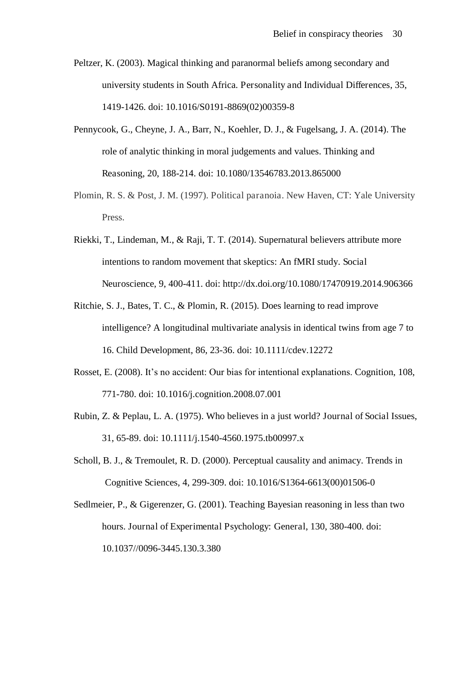- Peltzer, K. (2003). Magical thinking and paranormal beliefs among secondary and university students in South Africa. Personality and Individual Differences, 35, 1419-1426. doi: 10.1016/S0191-8869(02)00359-8
- Pennycook, G., Cheyne, J. A., Barr, N., Koehler, D. J., & Fugelsang, J. A. (2014). The role of analytic thinking in moral judgements and values. Thinking and Reasoning, 20, 188-214. doi: 10.1080/13546783.2013.865000
- Plomin, R. S. & Post, J. M. (1997). Political paranoia. New Haven, CT: Yale University Press.
- Riekki, T., Lindeman, M., & Raji, T. T. (2014). Supernatural believers attribute more intentions to random movement that skeptics: An fMRI study. Social Neuroscience, 9, 400-411. doi: http://dx.doi.org/10.1080/17470919.2014.906366
- Ritchie, S. J., Bates, T. C., & Plomin, R. (2015). Does learning to read improve intelligence? A longitudinal multivariate analysis in identical twins from age 7 to 16. Child Development, 86, 23-36. doi: 10.1111/cdev.12272
- Rosset, E. (2008). It's no accident: Our bias for intentional explanations. Cognition, 108, 771-780. doi: 10.1016/j.cognition.2008.07.001
- Rubin, Z. & Peplau, L. A. (1975). Who believes in a just world? Journal of Social Issues, 31, 65-89. doi: 10.1111/j.1540-4560.1975.tb00997.x
- Scholl, B. J., & Tremoulet, R. D. (2000). Perceptual causality and animacy. Trends in Cognitive Sciences, 4, 299-309. doi: 10.1016/S1364-6613(00)01506-0
- Sedlmeier, P., & Gigerenzer, G. (2001). Teaching Bayesian reasoning in less than two hours. Journal of Experimental Psychology: General, 130, 380-400. doi: 10.1037//0096-3445.130.3.380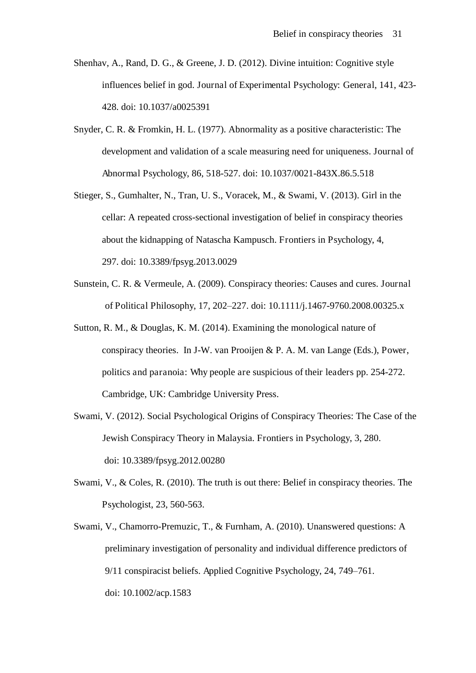- Shenhav, A., Rand, D. G., & Greene, J. D. (2012). Divine intuition: Cognitive style influences belief in god. Journal of Experimental Psychology: General, 141, 423- 428. doi: 10.1037/a0025391
- Snyder, C. R. & Fromkin, H. L. (1977). Abnormality as a positive characteristic: The development and validation of a scale measuring need for uniqueness. Journal of Abnormal Psychology, 86, 518-527. doi: 10.1037/0021-843X.86.5.518
- Stieger, S., Gumhalter, N., Tran, U. S., Voracek, M., & Swami, V. (2013). Girl in the cellar: A repeated cross-sectional investigation of belief in conspiracy theories about the kidnapping of Natascha Kampusch. Frontiers in Psychology, 4, 297. doi: 10.3389/fpsyg.2013.0029
- Sunstein, C. R. & Vermeule, A. (2009). Conspiracy theories: Causes and cures. Journal of Political Philosophy, 17, 202–227. doi: 10.1111/j.1467-9760.2008.00325.x
- Sutton, R. M., & Douglas, K. M. (2014). Examining the monological nature of conspiracy theories. In J-W. van Prooijen & P. A. M. van Lange (Eds.), Power, politics and paranoia: Why people are suspicious of their leaders pp. 254-272. Cambridge, UK: Cambridge University Press.
- Swami, V. (2012). Social Psychological Origins of Conspiracy Theories: The Case of the Jewish Conspiracy Theory in Malaysia. Frontiers in Psychology, 3, 280. doi: 10.3389/fpsyg.2012.00280
- Swami, V., & Coles, R. (2010). The truth is out there: Belief in conspiracy theories. The Psychologist, 23, 560-563.
- Swami, V., Chamorro-Premuzic, T., & Furnham, A. (2010). Unanswered questions: A preliminary investigation of personality and individual difference predictors of 9/11 conspiracist beliefs. Applied Cognitive Psychology, 24, 749–761. doi: 10.1002/acp.1583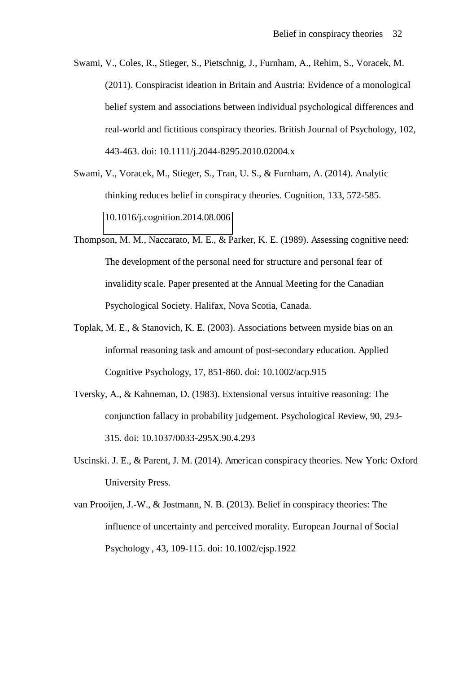- Swami, V., Coles, R., Stieger, S., Pietschnig, J., Furnham, A., Rehim, S., Voracek, M. (2011). Conspiracist ideation in Britain and Austria: Evidence of a monological belief system and associations between individual psychological differences and real-world and fictitious conspiracy theories. British Journal of Psychology, 102, 443-463. doi: 10.1111/j.2044-8295.2010.02004.x
- Swami, V., Voracek, M., Stieger, S., Tran, U. S., & Furnham, A. (2014). Analytic thinking reduces belief in conspiracy theories. Cognition, 133, 572-585. [10.1016/j.cognition.2014.08.006](http://dx.doi.org/10.1016/j.cognition.2014.08.006)
- Thompson, M. M., Naccarato, M. E., & Parker, K. E. (1989). Assessing cognitive need: The development of the personal need for structure and personal fear of invalidity scale. Paper presented at the Annual Meeting for the Canadian Psychological Society. Halifax, Nova Scotia, Canada.
- Toplak, M. E., & Stanovich, K. E. (2003). Associations between myside bias on an informal reasoning task and amount of post-secondary education. Applied Cognitive Psychology, 17, 851-860. doi: 10.1002/acp.915
- Tversky, A., & Kahneman, D. (1983). Extensional versus intuitive reasoning: The conjunction fallacy in probability judgement. Psychological Review, 90, 293- 315. doi: 10.1037/0033-295X.90.4.293
- Uscinski. J. E., & Parent, J. M. (2014). American conspiracy theories. New York: Oxford University Press.
- van Prooijen, J.-W., & Jostmann, N. B. (2013). Belief in conspiracy theories: The influence of uncertainty and perceived morality. European Journal of Social Psychology , 43, 109-115. doi: 10.1002/ejsp.1922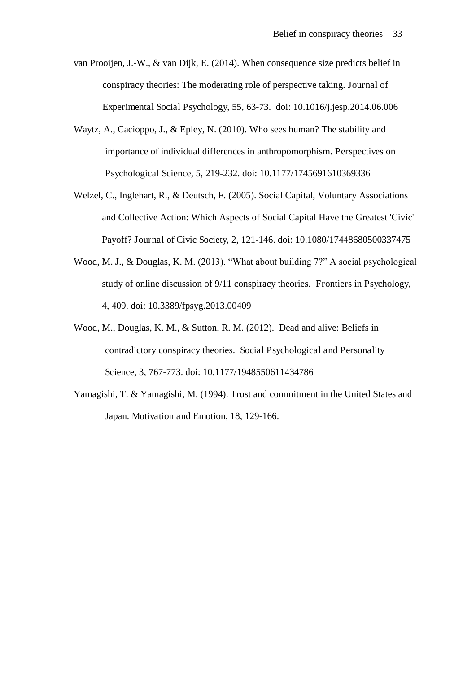- van Prooijen, J.-W., & van Dijk, E. (2014). When consequence size predicts belief in conspiracy theories: The moderating role of perspective taking. Journal of Experimental Social Psychology, 55, 63-73. doi: 10.1016/j.jesp.2014.06.006
- Waytz, A., Cacioppo, J., & Epley, N. (2010). Who sees human? The stability and importance of individual differences in anthropomorphism. Perspectives on Psychological Science, 5, 219-232. doi: 10.1177/1745691610369336
- Welzel, C., Inglehart, R., & Deutsch, F. (2005). Social Capital, Voluntary Associations and Collective Action: Which Aspects of Social Capital Have the Greatest 'Civic' Payoff? Journal of Civic Society, 2, 121-146. doi: 10.1080/17448680500337475
- Wood, M. J., & Douglas, K. M. (2013). "What about building 7?" A social psychological study of online discussion of 9/11 conspiracy theories. Frontiers in Psychology, 4, 409. doi: 10.3389/fpsyg.2013.00409
- Wood, M., Douglas, K. M., & Sutton, R. M. (2012). Dead and alive: Beliefs in contradictory conspiracy theories. Social Psychological and Personality Science, 3, 767-773. doi: 10.1177/1948550611434786
- Yamagishi, T. & Yamagishi, M. (1994). Trust and commitment in the United States and Japan. Motivation and Emotion, 18, 129-166.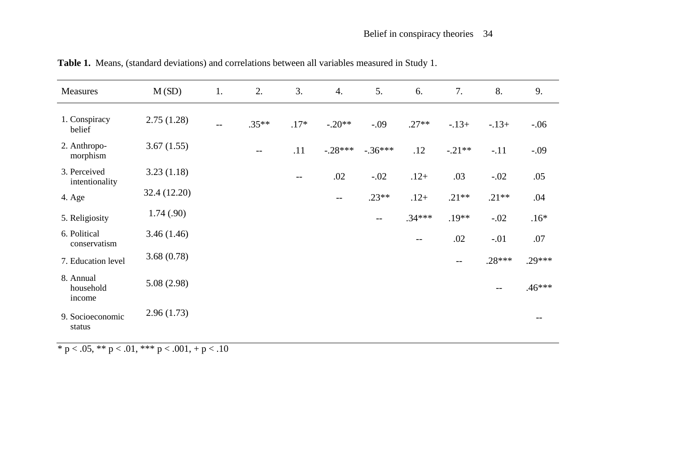| Measures                         | M(SD)        | 1.                | 2.                | 3.     | 4.                                    | 5.                       | 6.                | 7.                | 8.                | 9.       |
|----------------------------------|--------------|-------------------|-------------------|--------|---------------------------------------|--------------------------|-------------------|-------------------|-------------------|----------|
| 1. Conspiracy<br>belief          | 2.75(1.28)   | $\qquad \qquad -$ | $.35**$           | $.17*$ | $-.20**$                              | $-.09$                   | $.27**$           | $-.13+$           | $-13+$            | $-.06$   |
| 2. Anthropo-<br>morphism         | 3.67(1.55)   |                   | $\qquad \qquad -$ | .11    | $-.28***$                             | $-.36***$                | .12               | $-.21**$          | $-.11$            | $-.09$   |
| 3. Perceived<br>intentionality   | 3.23(1.18)   |                   |                   | $- -$  | .02                                   | $-.02$                   | $.12+$            | .03               | $-.02$            | .05      |
| 4. Age                           | 32.4 (12.20) |                   |                   |        | $\hspace{0.05cm}$ – $\hspace{0.05cm}$ | $.23**$                  | $.12+$            | $.21**$           | $.21**$           | .04      |
| 5. Religiosity                   | 1.74(.90)    |                   |                   |        |                                       | $\overline{\phantom{m}}$ | $.34***$          | $.19**$           | $-.02$            | $.16*$   |
| 6. Political<br>conservatism     | 3.46(1.46)   |                   |                   |        |                                       |                          | $\qquad \qquad -$ | .02               | $-.01$            | .07      |
| 7. Education level               | 3.68(0.78)   |                   |                   |        |                                       |                          |                   | $\qquad \qquad -$ | $.28***$          | $.29***$ |
| 8. Annual<br>household<br>income | 5.08(2.98)   |                   |                   |        |                                       |                          |                   |                   | $\qquad \qquad -$ | $.46***$ |
| 9. Socioeconomic<br>status       | 2.96(1.73)   |                   |                   |        |                                       |                          |                   |                   |                   |          |

**Table 1.** Means, (standard deviations) and correlations between all variables measured in Study 1.

 $\frac{}{\ast}$  p < .05,  $\frac{}{\ast\ast}$  p < .01,  $\frac{}{\ast\ast\ast}$  p < .001, + p < .10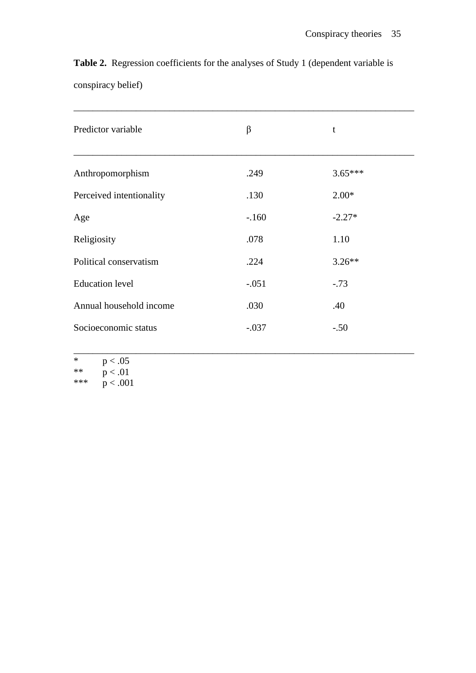|                    | <b>Table 2.</b> Regression coefficients for the analyses of Study 1 (dependent variable is |  |  |  |
|--------------------|--------------------------------------------------------------------------------------------|--|--|--|
| conspiracy belief) |                                                                                            |  |  |  |

| Predictor variable       | β       | t         |
|--------------------------|---------|-----------|
| Anthropomorphism         | .249    | $3.65***$ |
| Perceived intentionality | .130    | $2.00*$   |
| Age                      | $-.160$ | $-2.27*$  |
| Religiosity              | .078    | 1.10      |
| Political conservatism   | .224    | $3.26**$  |
| <b>Education</b> level   | $-.051$ | $-.73$    |
| Annual household income  | .030    | .40       |
| Socioeconomic status     | $-.037$ | $-.50$    |

\_\_\_\_\_\_\_\_\_\_\_\_\_\_\_\_\_\_\_\_\_\_\_\_\_\_\_\_\_\_\_\_\_\_\_\_\_\_\_\_\_\_\_\_\_\_\_\_\_\_\_\_\_\_\_\_\_\_\_\_\_\_\_\_\_\_\_\_\_\_\_

| ж    | p < .05  |
|------|----------|
| $**$ | p < .01  |
| ***  | p < .001 |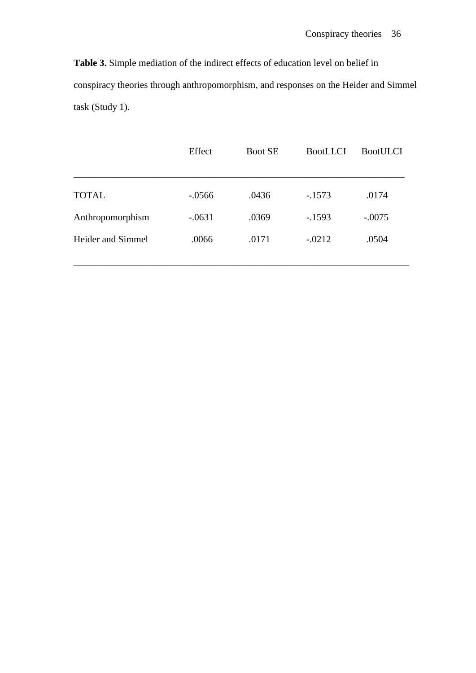**Table 3.** Simple mediation of the indirect effects of education level on belief in conspiracy theories through anthropomorphism, and responses on the Heider and Simmel task (Study 1).

|                   | Effect    | <b>Boot SE</b> | <b>BootLLCI</b> | <b>BootULCI</b> |
|-------------------|-----------|----------------|-----------------|-----------------|
|                   |           |                |                 |                 |
| <b>TOTAL</b>      | $-0.0566$ | .0436          | $-1573$         | .0174           |
| Anthropomorphism  | $-.0631$  | .0369          | $-.1593$        | $-.0075$        |
| Heider and Simmel | .0066     | .0171          | $-.0212$        | .0504           |
|                   |           |                |                 |                 |

\_\_\_\_\_\_\_\_\_\_\_\_\_\_\_\_\_\_\_\_\_\_\_\_\_\_\_\_\_\_\_\_\_\_\_\_\_\_\_\_\_\_\_\_\_\_\_\_\_\_\_\_\_\_\_\_\_\_\_\_\_\_\_\_\_\_\_\_\_\_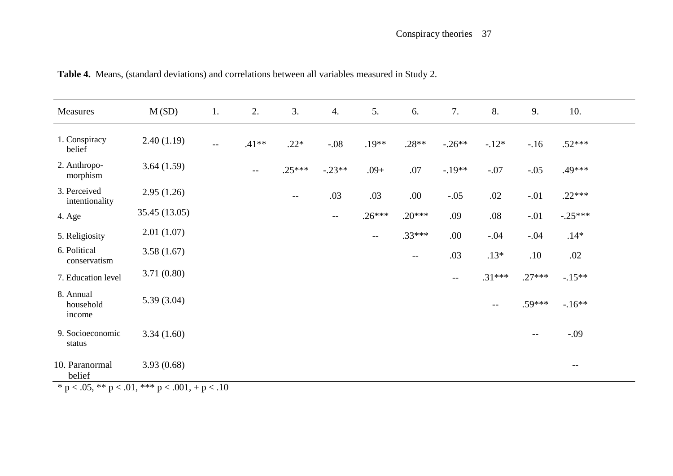| Measures                                                                         | M(SD)         | 1.                       | 2.      | 3.       | 4.                       | 5.       | 6.       | 7.       | 8.                | 9.       | 10.       |  |
|----------------------------------------------------------------------------------|---------------|--------------------------|---------|----------|--------------------------|----------|----------|----------|-------------------|----------|-----------|--|
| 1. Conspiracy<br>belief                                                          | 2.40(1.19)    | $\overline{\phantom{a}}$ | $.41**$ | $.22*$   | $-.08$                   | $.19**$  | $.28**$  | $-.26**$ | $-.12*$           | $-16$    | $.52***$  |  |
| 2. Anthropo-<br>morphism                                                         | 3.64(1.59)    |                          | $-\,-$  | $.25***$ | $-.23**$                 | $.09+$   | .07      | $-.19**$ | $-.07$            | $-.05$   | .49***    |  |
| 3. Perceived<br>intentionality                                                   | 2.95(1.26)    |                          |         | $- -$    | .03                      | .03      | .00.     | $-.05$   | .02               | $-.01$   | $.22***$  |  |
| 4. Age                                                                           | 35.45 (13.05) |                          |         |          | $\overline{\phantom{m}}$ | $.26***$ | $.20***$ | .09      | $.08\,$           | $-.01$   | $-.25***$ |  |
| 5. Religiosity                                                                   | 2.01(1.07)    |                          |         |          |                          | $-$      | $.33***$ | .00.     | $-.04$            | $-.04$   | $.14*$    |  |
| 6. Political<br>conservatism                                                     | 3.58(1.67)    |                          |         |          |                          |          | $- -$    | .03      | $.13*$            | .10      | .02       |  |
| 7. Education level                                                               | 3.71(0.80)    |                          |         |          |                          |          |          | $--$     | $.31***$          | $.27***$ | $-.15**$  |  |
| 8. Annual<br>household<br>income                                                 | 5.39(3.04)    |                          |         |          |                          |          |          |          | $\qquad \qquad -$ | .59***   | $-16**$   |  |
| 9. Socioeconomic<br>status                                                       | 3.34(1.60)    |                          |         |          |                          |          |          |          |                   | $-$      | $-.09$    |  |
| 10. Paranormal<br>belief<br>$*_{n}$ < 05 $*_{n}$ < 01 $*_{n}$ < 001 $+$ $n$ < 10 | 3.93(0.68)    |                          |         |          |                          |          |          |          |                   |          | $--$      |  |

**Table 4.** Means, (standard deviations) and correlations between all variables measured in Study 2.

\* p < .05, \*\* p < .01, \*\*\* p < .001, + p < .10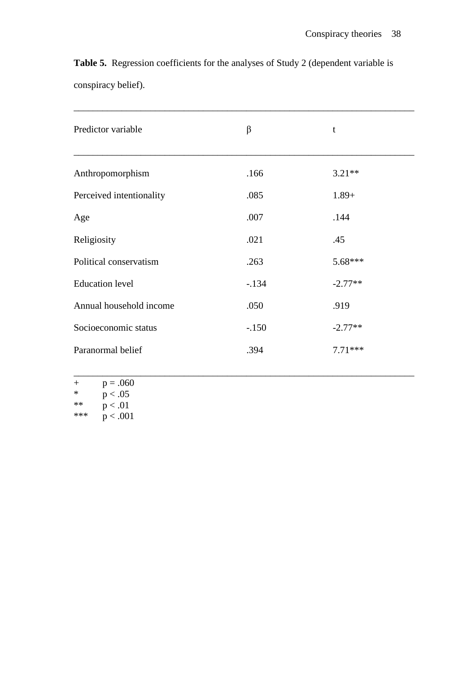**Table 5.** Regression coefficients for the analyses of Study 2 (dependent variable is conspiracy belief).

| $\beta$ | t         |
|---------|-----------|
| .166    | $3.21**$  |
| .085    | $1.89+$   |
| .007    | .144      |
| .021    | .45       |
| .263    | 5.68***   |
| $-.134$ | $-2.77**$ |
| .050    | .919      |
| $-.150$ | $-2.77**$ |
| .394    | $7.71***$ |
|         |           |

\_\_\_\_\_\_\_\_\_\_\_\_\_\_\_\_\_\_\_\_\_\_\_\_\_\_\_\_\_\_\_\_\_\_\_\_\_\_\_\_\_\_\_\_\_\_\_\_\_\_\_\_\_\_\_\_\_\_\_\_\_\_\_\_\_\_\_\_\_\_\_

- $+$  p = .060<br>\* n < 05
- \*  $p < .05$ <br>\*\*  $p < .01$
- \*\*  $p < .01$ <br>\*\*\*  $p < .00$
- $p < .001$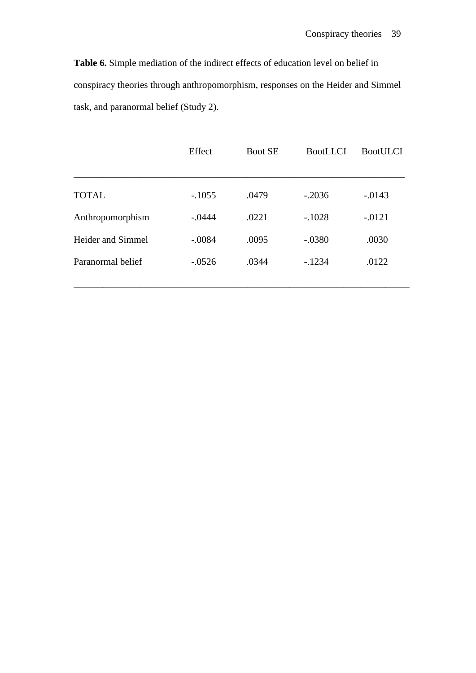**Table 6.** Simple mediation of the indirect effects of education level on belief in conspiracy theories through anthropomorphism, responses on the Heider and Simmel task, and paranormal belief (Study 2).

|                   | Effect   | <b>Boot SE</b> | BootLLCI | <b>BootULCI</b> |
|-------------------|----------|----------------|----------|-----------------|
|                   |          |                |          |                 |
| <b>TOTAL</b>      | $-.1055$ | .0479          | $-.2036$ | $-0.0143$       |
| Anthropomorphism  | $-.0444$ | .0221          | $-.1028$ | $-.0121$        |
| Heider and Simmel | $-.0084$ | .0095          | $-.0380$ | .0030           |
| Paranormal belief | $-.0526$ | .0344          | $-.1234$ | .0122           |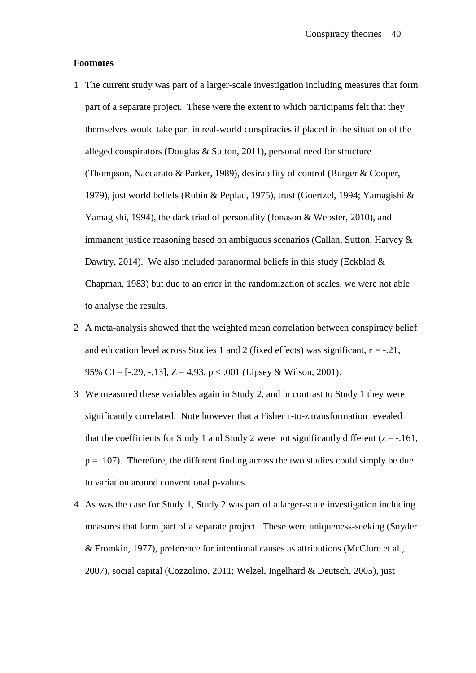#### **Footnotes**

- 1 The current study was part of a larger-scale investigation including measures that form part of a separate project. These were the extent to which participants felt that they themselves would take part in real-world conspiracies if placed in the situation of the alleged conspirators (Douglas & Sutton, 2011), personal need for structure (Thompson, Naccarato & Parker, 1989), desirability of control (Burger & Cooper, 1979), just world beliefs (Rubin & Peplau, 1975), trust (Goertzel, 1994; Yamagishi & Yamagishi, 1994), the dark triad of personality (Jonason & Webster, 2010), and immanent justice reasoning based on ambiguous scenarios (Callan, Sutton, Harvey & Dawtry, 2014). We also included paranormal beliefs in this study (Eckblad  $\&$ Chapman, 1983) but due to an error in the randomization of scales, we were not able to analyse the results.
- 2 A meta-analysis showed that the weighted mean correlation between conspiracy belief and education level across Studies 1 and 2 (fixed effects) was significant,  $r = -0.21$ , 95% CI =  $[-29, -13]$ ,  $Z = 4.93$ ,  $p < .001$  (Lipsey & Wilson, 2001).
- 3 We measured these variables again in Study 2, and in contrast to Study 1 they were significantly correlated. Note however that a Fisher r-to-z transformation revealed that the coefficients for Study 1 and Study 2 were not significantly different  $(z = -161$ ,  $p = .107$ ). Therefore, the different finding across the two studies could simply be due to variation around conventional p-values.
- 4 As was the case for Study 1, Study 2 was part of a larger-scale investigation including measures that form part of a separate project. These were uniqueness-seeking (Snyder & Fromkin, 1977), preference for intentional causes as attributions (McClure et al., 2007), social capital (Cozzolino, 2011; Welzel, Ingelhard & Deutsch, 2005), just